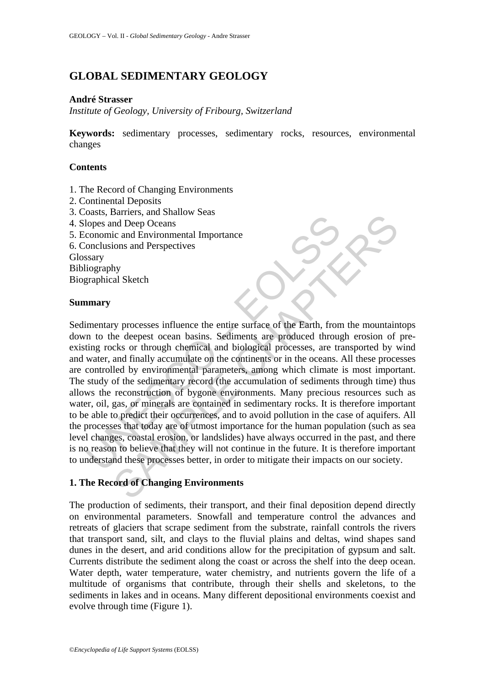# **GLOBAL SEDIMENTARY GEOLOGY**

### **André Strasser**

*Institute of Geology, University of Fribourg, Switzerland* 

**Keywords:** sedimentary processes, sedimentary rocks, resources, environmental changes

### **Contents**

- 1. The Record of Changing Environments
- 2. Continental Deposits
- 3. Coasts, Barriers, and Shallow Seas
- 4. Slopes and Deep Oceans
- 5. Economic and Environmental Importance
- 6. Conclusions and Perspectives

**Glossary** 

Bibliography

Biographical Sketch

### **Summary**

Cousts, cancrets, and binduction in the control of the function of the function of the processes influence (onclusions and Perspectives<br>Sary liography<br>
internal Environmental Importance<br>
sary<br>
internal of the depest ocean Samens, and shamow seas<br>and Deep Oceans<br>ic and Deep Oceans<br>tic and Environmental Importance<br>tions and Perspectives<br>hy<br>hy<br>al Sketch<br>the deepest ocean basins. Sediments are produced through erosion of<br>cks or through chemical Sedimentary processes influence the entire surface of the Earth, from the mountaintops down to the deepest ocean basins. Sediments are produced through erosion of preexisting rocks or through chemical and biological processes, are transported by wind and water, and finally accumulate on the continents or in the oceans. All these processes are controlled by environmental parameters, among which climate is most important. The study of the sedimentary record (the accumulation of sediments through time) thus allows the reconstruction of bygone environments. Many precious resources such as water, oil, gas, or minerals are contained in sedimentary rocks. It is therefore important to be able to predict their occurrences, and to avoid pollution in the case of aquifers. All the processes that today are of utmost importance for the human population (such as sea level changes, coastal erosion, or landslides) have always occurred in the past, and there is no reason to believe that they will not continue in the future. It is therefore important to understand these processes better, in order to mitigate their impacts on our society.

## **1. The Record of Changing Environments**

The production of sediments, their transport, and their final deposition depend directly on environmental parameters. Snowfall and temperature control the advances and retreats of glaciers that scrape sediment from the substrate, rainfall controls the rivers that transport sand, silt, and clays to the fluvial plains and deltas, wind shapes sand dunes in the desert, and arid conditions allow for the precipitation of gypsum and salt. Currents distribute the sediment along the coast or across the shelf into the deep ocean. Water depth, water temperature, water chemistry, and nutrients govern the life of a multitude of organisms that contribute, through their shells and skeletons, to the sediments in lakes and in oceans. Many different depositional environments coexist and evolve through time (Figure 1).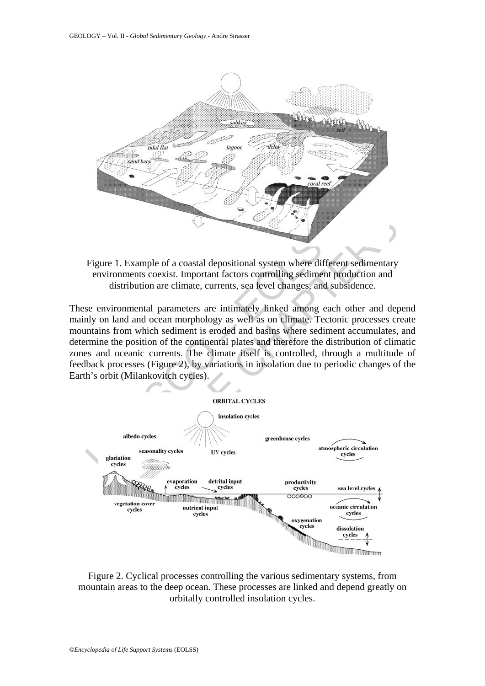

Figure 1. Example of a coastal depositional system where different sedimentary environments coexist. Important factors controlling sediment production and distribution are climate, currents, sea level changes, and subsidence.

These environmental parameters are intimately linked among each other and depend mainly on land and ocean morphology as well as on climate. Tectonic processes create mountains from which sediment is eroded and basins where sediment accumulates, and determine the position of the continental plates and therefore the distribution of climatic zones and oceanic currents. The climate itself is controlled, through a multitude of feedback processes (Figure 2), by variations in insolation due to periodic changes of the Earth's orbit (Milankovitch cycles).



Figure 2. Cyclical processes controlling the various sedimentary systems, from mountain areas to the deep ocean. These processes are linked and depend greatly on orbitally controlled insolation cycles.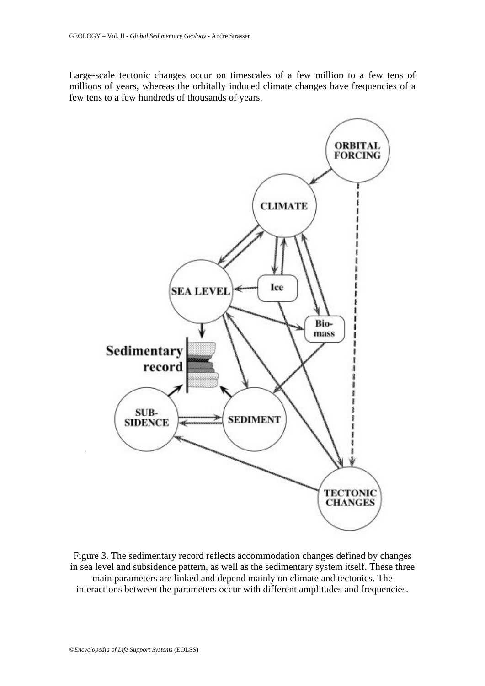Large-scale tectonic changes occur on timescales of a few million to a few tens of millions of years, whereas the orbitally induced climate changes have frequencies of a few tens to a few hundreds of thousands of years.



Figure 3. The sedimentary record reflects accommodation changes defined by changes in sea level and subsidence pattern, as well as the sedimentary system itself. These three main parameters are linked and depend mainly on climate and tectonics. The interactions between the parameters occur with different amplitudes and frequencies.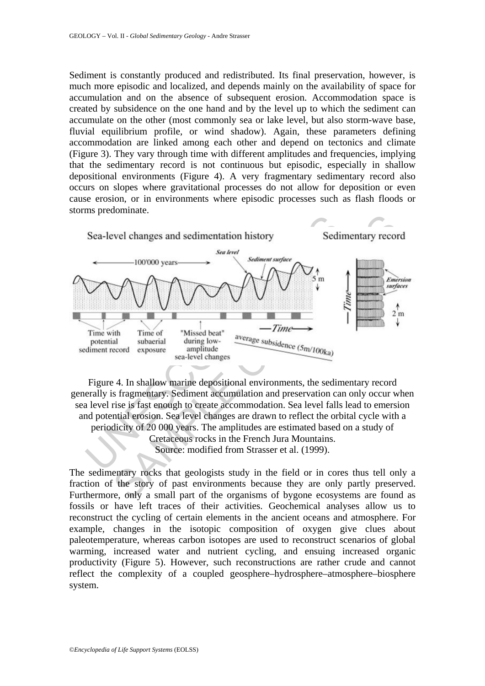Sediment is constantly produced and redistributed. Its final preservation, however, is much more episodic and localized, and depends mainly on the availability of space for accumulation and on the absence of subsequent erosion. Accommodation space is created by subsidence on the one hand and by the level up to which the sediment can accumulate on the other (most commonly sea or lake level, but also storm-wave base, fluvial equilibrium profile, or wind shadow). Again, these parameters defining accommodation are linked among each other and depend on tectonics and climate (Figure 3). They vary through time with different amplitudes and frequencies, implying that the sedimentary record is not continuous but episodic, especially in shallow depositional environments (Figure 4). A very fragmentary sedimentary record also occurs on slopes where gravitational processes do not allow for deposition or even cause erosion, or in environments where episodic processes such as flash floods or storms predominate.



Figure 4. In shallow marine depositional environments, the sedimentary record generally is fragmentary. Sediment accumulation and preservation can only occur when sea level rise is fast enough to create accommodation. Sea level falls lead to emersion and potential erosion. Sea level changes are drawn to reflect the orbital cycle with a periodicity of 20 000 years. The amplitudes are estimated based on a study of Cretaceous rocks in the French Jura Mountains. Source: modified from Strasser et al. (1999).

The sedimentary rocks that geologists study in the field or in cores thus tell only a fraction of the story of past environments because they are only partly preserved. Furthermore, only a small part of the organisms of bygone ecosystems are found as fossils or have left traces of their activities. Geochemical analyses allow us to reconstruct the cycling of certain elements in the ancient oceans and atmosphere. For example, changes in the isotopic composition of oxygen give clues about paleotemperature, whereas carbon isotopes are used to reconstruct scenarios of global warming, increased water and nutrient cycling, and ensuing increased organic productivity (Figure 5). However, such reconstructions are rather crude and cannot reflect the complexity of a coupled geosphere–hydrosphere–atmosphere–biosphere system.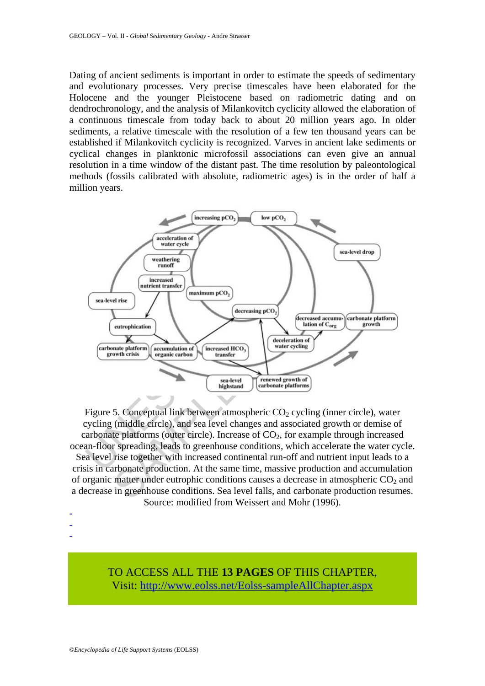Dating of ancient sediments is important in order to estimate the speeds of sedimentary and evolutionary processes. Very precise timescales have been elaborated for the Holocene and the younger Pleistocene based on radiometric dating and on dendrochronology, and the analysis of Milankovitch cyclicity allowed the elaboration of a continuous timescale from today back to about 20 million years ago. In older sediments, a relative timescale with the resolution of a few ten thousand years can be established if Milankovitch cyclicity is recognized. Varves in ancient lake sediments or cyclical changes in planktonic microfossil associations can even give an annual resolution in a time window of the distant past. The time resolution by paleontological methods (fossils calibrated with absolute, radiometric ages) is in the order of half a million years.



Figure 5. Conceptual link between atmospheric  $CO<sub>2</sub>$  cycling (inner circle), water cycling (middle circle), and sea level changes and associated growth or demise of carbonate platforms (outer circle). Increase of  $CO<sub>2</sub>$ , for example through increased ocean-floor spreading, leads to greenhouse conditions, which accelerate the water cycle. Sea level rise together with increased continental run-off and nutrient input leads to a crisis in carbonate production. At the same time, massive production and accumulation of organic matter under eutrophic conditions causes a decrease in atmospheric  $CO<sub>2</sub>$  and a decrease in greenhouse conditions. Sea level falls, and carbonate production resumes. Source: modified from Weissert and Mohr (1996).

- -
- -

TO ACCESS ALL THE **13 PAGES** OF THIS CHAPTER, Visit: [http://www.eolss.net/Eolss-sampleAllChapter.aspx](https://www.eolss.net/ebooklib/sc_cart.aspx?File=E6-15-04-03)